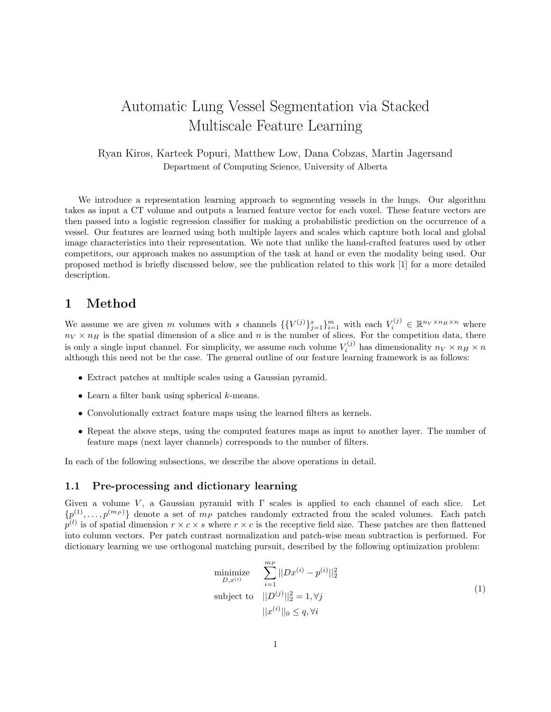# Automatic Lung Vessel Segmentation via Stacked Multiscale Feature Learning

Ryan Kiros, Karteek Popuri, Matthew Low, Dana Cobzas, Martin Jagersand Department of Computing Science, University of Alberta

We introduce a representation learning approach to segmenting vessels in the lungs. Our algorithm takes as input a CT volume and outputs a learned feature vector for each voxel. These feature vectors are then passed into a logistic regression classifier for making a probabilistic prediction on the occurrence of a vessel. Our features are learned using both multiple layers and scales which capture both local and global image characteristics into their representation. We note that unlike the hand-crafted features used by other competitors, our approach makes no assumption of the task at hand or even the modality being used. Our proposed method is briefly discussed below, see the publication related to this work [1] for a more detailed description.

## 1 Method

We assume we are given m volumes with s channels  $\{ \{ V^{(j)} \}_{j=1}^s \}_{i=1}^m$  with each  $V_i^{(j)} \in \mathbb{R}^{n_V \times n_H \times n}$  where  $n_V \times n_H$  is the spatial dimension of a slice and n is the number of slices. For the competition data, there is only a single input channel. For simplicity, we assume each volume  $V_i^{(j)}$  has dimensionality  $n_V \times n_H \times n_V$ although this need not be the case. The general outline of our feature learning framework is as follows:

- Extract patches at multiple scales using a Gaussian pyramid.
- $\bullet$  Learn a filter bank using spherical  $k$ -means.
- Convolutionally extract feature maps using the learned filters as kernels.
- Repeat the above steps, using the computed features maps as input to another layer. The number of feature maps (next layer channels) corresponds to the number of filters.

In each of the following subsections, we describe the above operations in detail.

#### 1.1 Pre-processing and dictionary learning

Given a volume V, a Gaussian pyramid with  $\Gamma$  scales is applied to each channel of each slice. Let  $\{p^{(1)}, \ldots, p^{(m_P)}\}$  denote a set of  $m_P$  patches randomly extracted from the scaled volumes. Each patch  $p^{(l)}$  is of spatial dimension  $r \times c \times s$  where  $r \times c$  is the receptive field size. These patches are then flattened into column vectors. Per patch contrast normalization and patch-wise mean subtraction is performed. For dictionary learning we use orthogonal matching pursuit, described by the following optimization problem:

minimize  
\n
$$
\sum_{D,x^{(i)}}^{m_P} ||Dx^{(i)} - p^{(i)}||_2^2
$$
\nsubject to  
\n
$$
||D^{(j)}||_2^2 = 1, \forall j
$$
\n
$$
||x^{(i)}||_0 \leq q, \forall i
$$
\n(1)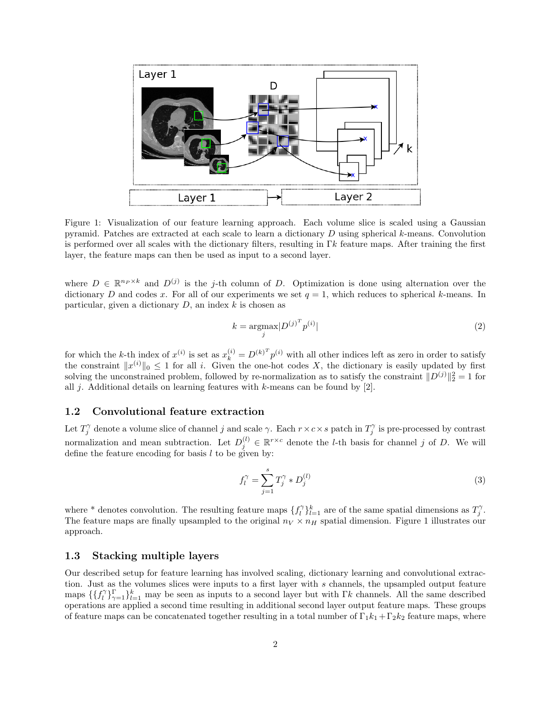

Figure 1: Visualization of our feature learning approach. Each volume slice is scaled using a Gaussian pyramid. Patches are extracted at each scale to learn a dictionary D using spherical k-means. Convolution is performed over all scales with the dictionary filters, resulting in Γk feature maps. After training the first layer, the feature maps can then be used as input to a second layer.

where  $D \in \mathbb{R}^{n_P \times k}$  and  $D^{(j)}$  is the j-th column of D. Optimization is done using alternation over the dictionary D and codes x. For all of our experiments we set  $q = 1$ , which reduces to spherical k-means. In particular, given a dictionary  $D$ , an index  $k$  is chosen as

$$
k = \underset{j}{\operatorname{argmax}} |D^{(j)}^T p^{(i)}| \tag{2}
$$

for which the k-th index of  $x^{(i)}$  is set as  $x_k^{(i)} = D^{(k)T} p^{(i)}$  with all other indices left as zero in order to satisfy the constraint  $||x^{(i)}||_0 \leq 1$  for all i. Given the one-hot codes X, the dictionary is easily updated by first solving the unconstrained problem, followed by re-normalization as to satisfy the constraint  $||D^{(j)}||_2^2 = 1$  for all j. Additional details on learning features with k-means can be found by  $[2]$ .

#### 1.2 Convolutional feature extraction

Let  $T_j^{\gamma}$  denote a volume slice of channel j and scale  $\gamma$ . Each  $r \times c \times s$  patch in  $T_j^{\gamma}$  is pre-processed by contrast normalization and mean subtraction. Let  $D_j^{(l)} \in \mathbb{R}^{r \times c}$  denote the *l*-th basis for channel j of D. We will define the feature encoding for basis  $l$  to be given by:

$$
f_l^{\gamma} = \sum_{j=1}^s T_j^{\gamma} * D_j^{(l)}
$$
 (3)

where \* denotes convolution. The resulting feature maps  $\{f_l^{\gamma}\}_{l=1}^k$  are of the same spatial dimensions as  $T_j^{\gamma}$ . The feature maps are finally upsampled to the original  $n_V \times n_H$  spatial dimension. Figure 1 illustrates our approach.

### 1.3 Stacking multiple layers

Our described setup for feature learning has involved scaling, dictionary learning and convolutional extraction. Just as the volumes slices were inputs to a first layer with s channels, the upsampled output feature maps  $\{\{f_l^{\gamma}\}_{\gamma=1}^{\Gamma}\}_{l=1}^{k}$  may be seen as inputs to a second layer but with  $\Gamma k$  channels. All the same described operations are applied a second time resulting in additional second layer output feature maps. These groups of feature maps can be concatenated together resulting in a total number of  $\Gamma_1 k_1 + \Gamma_2 k_2$  feature maps, where